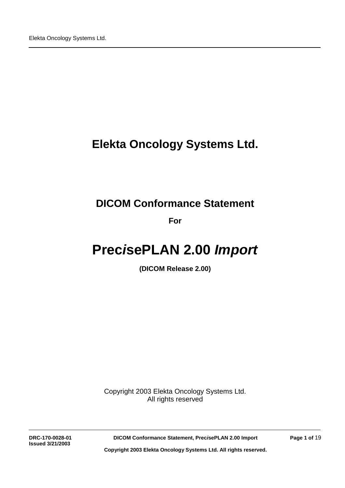# **Elekta Oncology Systems Ltd.**

# **DICOM Conformance Statement**

**For**

# **Prec***i***sePLAN 2.00** *Import*

**(DICOM Release 2.00)**

Copyright 2003 Elekta Oncology Systems Ltd. All rights reserved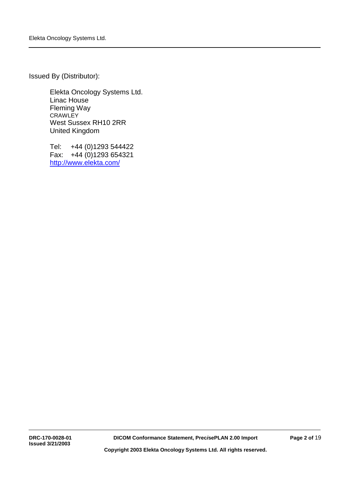Issued By (Distributor):

Elekta Oncology Systems Ltd. Linac House Fleming Way **CRAWLEY** West Sussex RH10 2RR United Kingdom

Tel: +44 (0)1293 544422 Fax: +44 (0)1293 654321 http://www.elekta.com/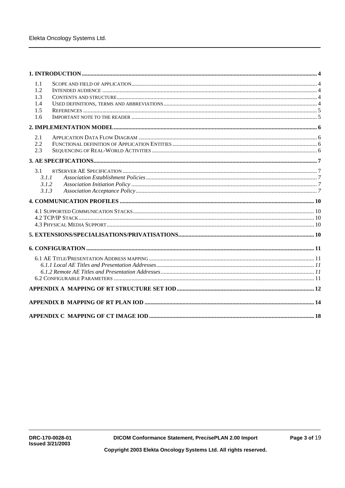| 1.1<br>1.2 |  |
|------------|--|
| 1.3        |  |
| 1.4        |  |
| 1.5        |  |
| 1.6        |  |
|            |  |
| 2.1        |  |
| 2.2        |  |
| 2.3        |  |
|            |  |
| 3.1        |  |
| 3.1.1      |  |
| 3.1.2      |  |
| 3.1.3      |  |
|            |  |
|            |  |
|            |  |
|            |  |
|            |  |
|            |  |
|            |  |
|            |  |
|            |  |
|            |  |
|            |  |
|            |  |
|            |  |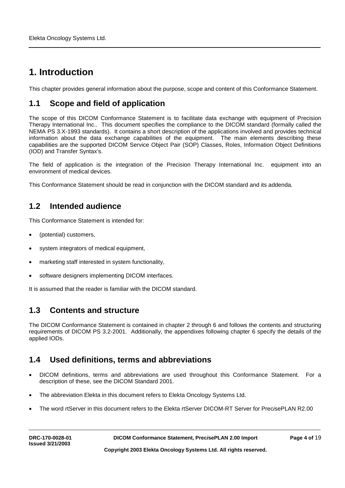# **1. Introduction**

This chapter provides general information about the purpose, scope and content of this Conformance Statement.

### **1.1 Scope and field of application**

The scope of this DICOM Conformance Statement is to facilitate data exchange with equipment of Precision Therapy International Inc.. This document specifies the compliance to the DICOM standard (formally called the NEMA PS 3.X-1993 standards). It contains a short description of the applications involved and provides technical information about the data exchange capabilities of the equipment. The main elements describing these capabilities are the supported DICOM Service Object Pair (SOP) Classes, Roles, Information Object Definitions (IOD) and Transfer Syntax's.

The field of application is the integration of the Precision Therapy International Inc. equipment into an environment of medical devices.

This Conformance Statement should be read in conjunction with the DICOM standard and its addenda.

### **1.2 Intended audience**

This Conformance Statement is intended for:

- (potential) customers,
- system integrators of medical equipment,
- marketing staff interested in system functionality,
- software designers implementing DICOM interfaces.

It is assumed that the reader is familiar with the DICOM standard.

### **1.3 Contents and structure**

The DICOM Conformance Statement is contained in chapter 2 through 6 and follows the contents and structuring requirements of DICOM PS 3.2-2001. Additionally, the appendixes following chapter 6 specify the details of the applied IODs.

### **1.4 Used definitions, terms and abbreviations**

- DICOM definitions, terms and abbreviations are used throughout this Conformance Statement. For a description of these, see the DICOM Standard 2001.
- The abbreviation Elekta in this document refers to Elekta Oncology Systems Ltd.
- The word rtServer in this document refers to the Elekta rtServer DICOM-RT Server for Prec*i*sePLAN R2.00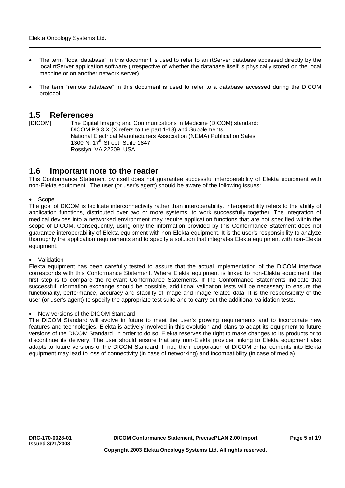- The term "local database" in this document is used to refer to an rtServer database accessed directly by the local rtServer application software (irrespective of whether the database itself is physically stored on the local machine or on another network server).
- The term "remote database" in this document is used to refer to a database accessed during the DICOM protocol.

### **1.5 References**

[DICOM] The Digital Imaging and Communications in Medicine (DICOM) standard: DICOM PS 3.X (X refers to the part 1-13) and Supplements. National Electrical Manufacturers Association (NEMA) Publication Sales 1300 N.  $17<sup>th</sup>$  Street, Suite 1847 Rosslyn, VA 22209, USA.

### **1.6 Important note to the reader**

This Conformance Statement by itself does not guarantee successful interoperability of Elekta equipment with non-Elekta equipment. The user (or user's agent) should be aware of the following issues:

• Scope

The goal of DICOM is facilitate interconnectivity rather than interoperability. Interoperability refers to the ability of application functions, distributed over two or more systems, to work successfully together. The integration of medical devices into a networked environment may require application functions that are not specified within the scope of DICOM. Consequently, using only the information provided by this Conformance Statement does not guarantee interoperability of Elekta equipment with non-Elekta equipment. It is the user's responsibility to analyze thoroughly the application requirements and to specify a solution that integrates Elekta equipment with non-Elekta equipment.

#### • Validation

Elekta equipment has been carefully tested to assure that the actual implementation of the DICOM interface corresponds with this Conformance Statement. Where Elekta equipment is linked to non-Elekta equipment, the first step is to compare the relevant Conformance Statements. If the Conformance Statements indicate that successful information exchange should be possible, additional validation tests will be necessary to ensure the functionality, performance, accuracy and stability of image and image related data. It is the responsibility of the user (or user's agent) to specify the appropriate test suite and to carry out the additional validation tests.

• New versions of the DICOM Standard

The DICOM Standard will evolve in future to meet the user's growing requirements and to incorporate new features and technologies. Elekta is actively involved in this evolution and plans to adapt its equipment to future versions of the DICOM Standard. In order to do so, Elekta reserves the right to make changes to its products or to discontinue its delivery. The user should ensure that any non-Elekta provider linking to Elekta equipment also adapts to future versions of the DICOM Standard. If not, the incorporation of DICOM enhancements into Elekta equipment may lead to loss of connectivity (in case of networking) and incompatibility (in case of media).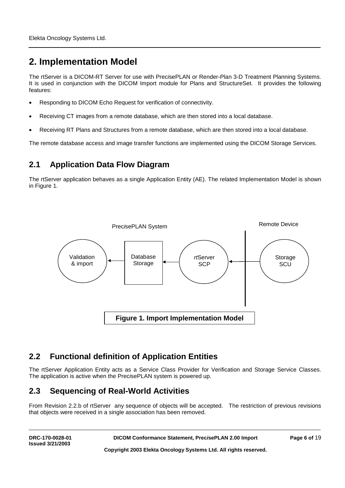# **2. Implementation Model**

The rtServer is a DICOM-RT Server for use with Prec*i*sePLAN or Render-Plan 3-D Treatment Planning Systems. It is used in conjunction with the DICOM Import module for Plans and StructureSet. It provides the following features:

- Responding to DICOM Echo Request for verification of connectivity.
- Receiving CT images from a remote database, which are then stored into a local database.
- Receiving RT Plans and Structures from a remote database, which are then stored into a local database.

The remote database access and image transfer functions are implemented using the DICOM Storage Services.

### **2.1 Application Data Flow Diagram**

The rtServer application behaves as a single Application Entity (AE). The related Implementation Model is shown in Figure 1.



### **2.2 Functional definition of Application Entities**

The rtServer Application Entity acts as a Service Class Provider for Verification and Storage Service Classes. The application is active when the Prec*i*sePLAN system is powered up.

### **2.3 Sequencing of Real-World Activities**

From Revision 2.2.b of rtServer any sequence of objects will be accepted. The restriction of previous revisions that objects were received in a single association has been removed.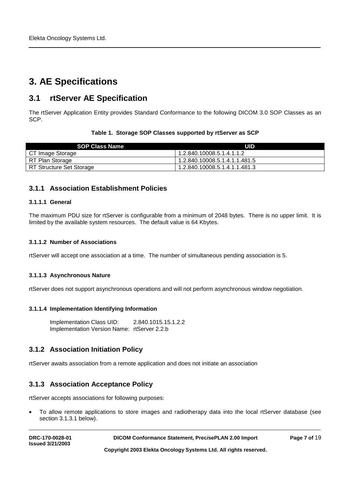# **3. AE Specifications**

### **3.1 rtServer AE Specification**

The rtServer Application Entity provides Standard Conformance to the following DICOM 3.0 SOP Classes as an SCP.

### **Table 1. Storage SOP Classes supported by rtServer as SCP**

| <b>SOP Class Name</b>    | UID                           |
|--------------------------|-------------------------------|
| CT Image Storage         | 1.2.840.10008.5.1.4.1.1.2     |
| RT Plan Storage          | 1.2.840.10008.5.1.4.1.1.481.5 |
| RT Structure Set Storage | 1.2.840.10008.5.1.4.1.1.481.3 |

### **3.1.1 Association Establishment Policies**

### **3.1.1.1 General**

The maximum PDU size for rtServer is configurable from a minimum of 2048 bytes. There is no upper limit. It is limited by the available system resources. The default value is 64 Kbytes.

#### **3.1.1.2 Number of Associations**

rtServer will accept one association at a time. The number of simultaneous pending association is 5.

### **3.1.1.3 Asynchronous Nature**

rtServer does not support asynchronous operations and will not perform asynchronous window negotiation.

### **3.1.1.4 Implementation Identifying Information**

Implementation Class UID: 2.840.1015.15.1.2.2 Implementation Version Name: rtServer 2.2.b

### **3.1.2 Association Initiation Policy**

rtServer awaits association from a remote application and does not initiate an association

### **3.1.3 Association Acceptance Policy**

rtServer accepts associations for following purposes:

• To allow remote applications to store images and radiotherapy data into the local rtServer database (see section 3.1.3.1 below).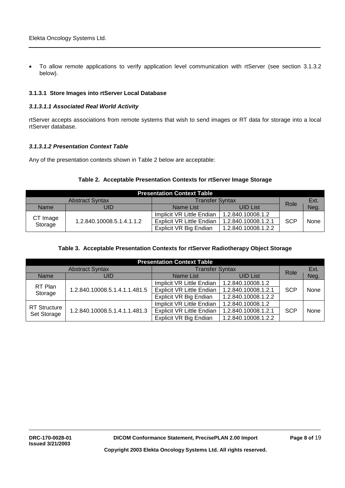• To allow remote applications to verify application level communication with rtServer (see section 3.1.3.2 below).

### **3.1.3.1 Store Images into rtServer Local Database**

### *3.1.3.1.1 Associated Real World Activity*

rtServer accepts associations from remote systems that wish to send images or RT data for storage into a local rtServer database.

#### *3.1.3.1.2 Presentation Context Table*

Any of the presentation contexts shown in Table 2 below are acceptable:

### **Table 2. Acceptable Presentation Contexts for rtServer Image Storage**

| <b>Presentation Context Table</b> |                           |                           |                     |            |      |  |  |
|-----------------------------------|---------------------------|---------------------------|---------------------|------------|------|--|--|
|                                   | Role                      | Ext.                      |                     |            |      |  |  |
| JID<br>Name                       |                           | Name List                 | <b>UID List</b>     |            | Neg. |  |  |
|                                   |                           | Implicit VR Little Endian | 1.2.840.10008.1.2   |            |      |  |  |
| CT Image<br>Storage               | 1.2.840.10008.5.1.4.1.1.2 | Explicit VR Little Endian | 1.2.840.10008.1.2.1 | <b>SCP</b> | None |  |  |
|                                   |                           | Explicit VR Big Endian    | 1.2.840.10008.1.2.2 |            |      |  |  |

### **Table 3. Acceptable Presentation Contexts for rtServer Radiotherapy Object Storage**

| <b>Presentation Context Table</b>  |                                                     |                                  |                        |            |      |  |  |
|------------------------------------|-----------------------------------------------------|----------------------------------|------------------------|------------|------|--|--|
|                                    | <b>Abstract Syntax</b>                              |                                  | <b>Transfer Syntax</b> |            |      |  |  |
| <b>Name</b>                        | UID                                                 | <b>Name List</b>                 | <b>UID List</b>        | Role       | Neg. |  |  |
|                                    | RT Plan<br>1.2.840.10008.5.1.4.1.1.481.5<br>Storage | Implicit VR Little Endian        | 1.2.840.10008.1.2      |            |      |  |  |
|                                    |                                                     | <b>Explicit VR Little Endian</b> | 1.2.840.10008.1.2.1    | <b>SCP</b> | None |  |  |
|                                    |                                                     | Explicit VR Big Endian           | 1.2.840.10008.1.2.2    |            |      |  |  |
|                                    |                                                     | Implicit VR Little Endian        | 1.2.840.10008.1.2      |            |      |  |  |
| <b>RT</b> Structure<br>Set Storage | 1.2.840.10008.5.1.4.1.1.481.3                       | <b>Explicit VR Little Endian</b> | 1.2.840.10008.1.2.1    | <b>SCP</b> | None |  |  |
|                                    |                                                     | Explicit VR Big Endian           | 1.2.840.10008.1.2.2    |            |      |  |  |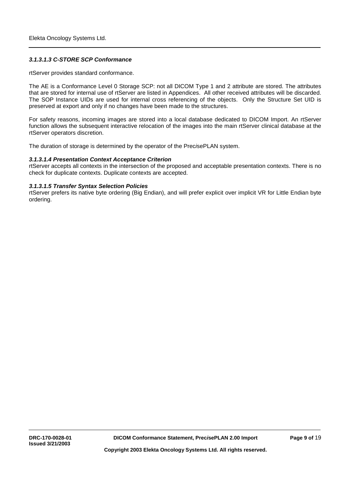#### *3.1.3.1.3 C-STORE SCP Conformance*

rtServer provides standard conformance.

The AE is a Conformance Level 0 Storage SCP: not all DICOM Type 1 and 2 attribute are stored. The attributes that are stored for internal use of rtServer are listed in Appendices. All other received attributes will be discarded. The SOP Instance UIDs are used for internal cross referencing of the objects. Only the Structure Set UID is preserved at export and only if no changes have been made to the structures.

For safety reasons, incoming images are stored into a local database dedicated to DICOM Import. An rtServer function allows the subsequent interactive relocation of the images into the main rtServer clinical database at the rtServer operators discretion.

The duration of storage is determined by the operator of the Prec*i*sePLAN system.

#### *3.1.3.1.4 Presentation Context Acceptance Criterion*

rtServer accepts all contexts in the intersection of the proposed and acceptable presentation contexts. There is no check for duplicate contexts. Duplicate contexts are accepted.

#### *3.1.3.1.5 Transfer Syntax Selection Policies*

rtServer prefers its native byte ordering (Big Endian), and will prefer explicit over implicit VR for Little Endian byte ordering.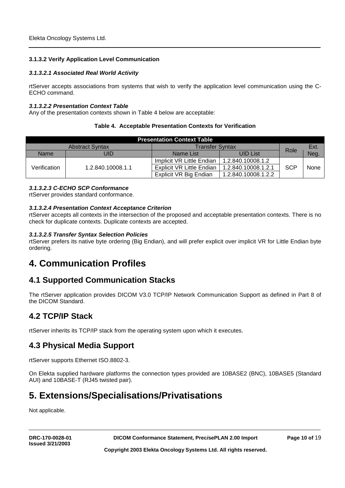### **3.1.3.2 Verify Application Level Communication**

### *3.1.3.2.1 Associated Real World Activity*

rtServer accepts associations from systems that wish to verify the application level communication using the C-ECHO command.

#### *3.1.3.2.2 Presentation Context Table*

Any of the presentation contexts shown in Table 4 below are acceptable:

### **Table 4. Acceptable Presentation Contexts for Verification**

| <b>Presentation Context Table</b> |                        |                           |                     |            |      |  |  |
|-----------------------------------|------------------------|---------------------------|---------------------|------------|------|--|--|
|                                   | <b>Abstract Syntax</b> | <b>Transfer Syntax</b>    | Role                | Ext.       |      |  |  |
| JID<br>Name                       |                        | Name List                 | <b>UID List</b>     |            | Neg. |  |  |
|                                   | 1.2.840.10008.1.1      | Implicit VR Little Endian | 1.2.840.10008.1.2   |            |      |  |  |
| Verification                      |                        | Explicit VR Little Endian | 1.2.840.10008.1.2.1 | <b>SCP</b> | None |  |  |
|                                   |                        | Explicit VR Big Endian    | 1.2.840.10008.1.2.2 |            |      |  |  |

### *3.1.3.2.3 C-ECHO SCP Conformance*

rtServer provides standard conformance.

### *3.1.3.2.4 Presentation Context Acceptance Criterion*

rtServer accepts all contexts in the intersection of the proposed and acceptable presentation contexts. There is no check for duplicate contexts. Duplicate contexts are accepted.

### *3.1.3.2.5 Transfer Syntax Selection Policies*

rtServer prefers its native byte ordering (Big Endian), and will prefer explicit over implicit VR for Little Endian byte ordering.

## **4. Communication Profiles**

### **4.1 Supported Communication Stacks**

The rtServer application provides DICOM V3.0 TCP/IP Network Communication Support as defined in Part 8 of the DICOM Standard.

### **4.2 TCP/IP Stack**

rtServer inherits its TCP/IP stack from the operating system upon which it executes.

### **4.3 Physical Media Support**

rtServer supports Ethernet ISO.8802-3.

On Elekta supplied hardware platforms the connection types provided are 10BASE2 (BNC), 10BASE5 (Standard AUI) and 10BASE-T (RJ45 twisted pair).

## **5. Extensions/Specialisations/Privatisations**

Not applicable.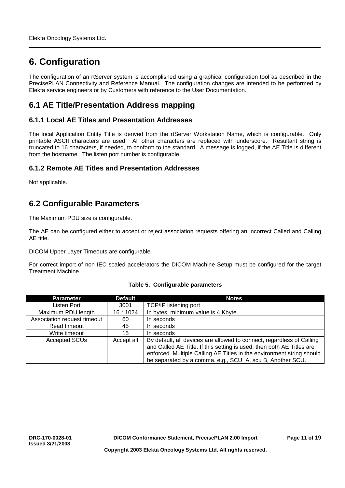# **6. Configuration**

The configuration of an rtServer system is accomplished using a graphical configuration tool as described in the PrecisePLAN Connectivity and Reference Manual. The configuration changes are intended to be performed by Elekta service engineers or by Customers with reference to the User Documentation.

### **6.1 AE Title/Presentation Address mapping**

### **6.1.1 Local AE Titles and Presentation Addresses**

The local Application Entity Title is derived from the rtServer Workstation Name, which is configurable. Only printable ASCII characters are used. All other characters are replaced with underscore. Resultant string is truncated to 16 characters, if needed, to conform to the standard. A message is logged, if the AE Title is different from the hostname. The listen port number is configurable.

### **6.1.2 Remote AE Titles and Presentation Addresses**

Not applicable.

### **6.2 Configurable Parameters**

The Maximum PDU size is configurable.

The AE can be configured either to accept or reject association requests offering an incorrect Called and Calling AE title.

DICOM Upper Layer Timeouts are configurable.

For correct import of non IEC scaled accelerators the DICOM Machine Setup must be configured for the target Treatment Machine.

| <b>Parameter</b>            | <b>Default</b> | <b>Notes</b>                                                                                                                                                                                                                                                                         |  |  |
|-----------------------------|----------------|--------------------------------------------------------------------------------------------------------------------------------------------------------------------------------------------------------------------------------------------------------------------------------------|--|--|
| Listen Port                 | 3001           | <b>TCP/IP listening port</b>                                                                                                                                                                                                                                                         |  |  |
| Maximum PDU length          | 16 * 1024      | In bytes, minimum value is 4 Kbyte.                                                                                                                                                                                                                                                  |  |  |
| Association request timeout | 60             | In seconds                                                                                                                                                                                                                                                                           |  |  |
| Read timeout                | 45             | In seconds                                                                                                                                                                                                                                                                           |  |  |
| Write timeout               | 15             | In seconds                                                                                                                                                                                                                                                                           |  |  |
| <b>Accepted SCUs</b>        | Accept all     | By default, all devices are allowed to connect, regardless of Calling<br>and Called AE Title. If this setting is used, then both AE Titles are<br>enforced. Multiple Calling AE Titles in the environment string should<br>be separated by a comma. e.g., SCU_A, scu B, Another SCU. |  |  |

### **Table 5. Configurable parameters**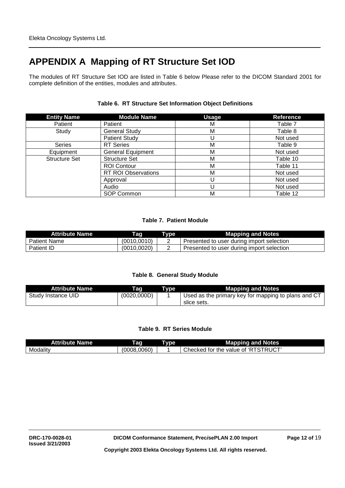# **APPENDIX A Mapping of RT Structure Set IOD**

The modules of RT Structure Set IOD are listed in Table 6 below Please refer to the DICOM Standard 2001 for complete definition of the entities, modules and attributes.

| <b>Entity Name</b>   | <b>Module Name</b>         | <b>Usage</b> | <b>Reference</b> |
|----------------------|----------------------------|--------------|------------------|
| Patient              | Patient                    | M            | Table 7          |
| Study                | <b>General Study</b>       | M            | Table 8          |
|                      | <b>Patient Study</b>       |              | Not used         |
| <b>Series</b>        | <b>RT</b> Series           | М            | Table 9          |
| Equipment            | <b>General Equipment</b>   | М            | Not used         |
| <b>Structure Set</b> | <b>Structure Set</b>       | M            | Table 10         |
|                      | <b>ROI Contour</b>         | M            | Table 11         |
|                      | <b>RT ROI Observations</b> | М            | Not used         |
|                      | Approval                   |              | Not used         |
|                      | Audio                      |              | Not used         |
|                      | SOP Common                 | M            | Table 12         |

### **Table 6. RT Structure Set Information Object Definitions**

### **Table 7. Patient Module**

| <b>Attribute Name</b> | Taq          | Type     | <b>Mapping and Notes</b>                  |
|-----------------------|--------------|----------|-------------------------------------------|
| <b>Patient Name</b>   | (0010, 0010) | <u>_</u> | Presented to user during import selection |
| <b>Patient ID</b>     | (0010, 0020) |          | Presented to user during import selection |

### **Table 8. General Study Module**

| <b>Attribute Name</b> | Taq         | Tvpe | <b>Mapping and Notes</b>                            |
|-----------------------|-------------|------|-----------------------------------------------------|
| Study Instance UID    | (0020,000D) |      | Used as the primary key for mapping to plans and CT |
|                       |             |      | slice sets.                                         |

### **Table 9. RT Series Module**

| .<br>Name<br>Attribute N | l ag         | vne | --<br><b>Notes</b><br>⊧and<br>Mapp<br>onına<br>.                |
|--------------------------|--------------|-----|-----------------------------------------------------------------|
| Modalitv                 | (0008, 0060) |     | TRUCT'<br>Checked<br>tor<br>the<br>value<br>Οľ<br>. .<br>$\sim$ |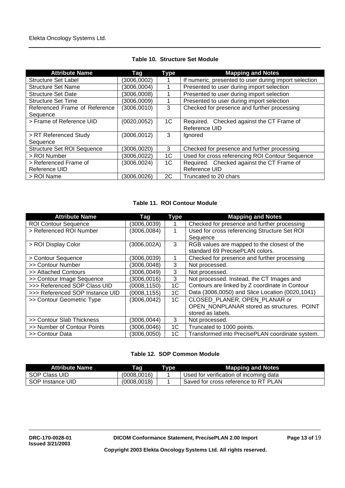| <b>Attribute Name</b>             | Tag          | <b>Type</b> | <b>Mapping and Notes</b>                              |
|-----------------------------------|--------------|-------------|-------------------------------------------------------|
| Structure Set Label               | (3006,0002)  |             | If numeric, presented to user during import selection |
| <b>Structure Set Name</b>         | (3006, 0004) |             | Presented to user during import selection             |
| <b>Structure Set Date</b>         | (3006,0008)  |             | Presented to user during import selection             |
| <b>Structure Set Time</b>         | (3006,0009)  |             | Presented to user during import selection             |
| Referenced Frame of Reference     | (3006, 0010) | 3           | Checked for presence and further processing           |
| Sequence                          |              |             |                                                       |
| > Frame of Reference UID          | (0020, 0052) | 1C          | Required. Checked against the CT Frame of             |
|                                   |              |             | Reference UID                                         |
| > RT Referenced Study             | (3006, 0012) | 3           | Ignored                                               |
| Sequence                          |              |             |                                                       |
| <b>Structure Set ROI Sequence</b> | (3006, 0020) | 3           | Checked for presence and further processing           |
| > ROI Number                      | (3006, 0022) | 1C          | Used for cross referencing ROI Contour Sequence       |
| > Referenced Frame of             | (3006, 0024) | 1C          | Required. Checked against the CT Frame of             |
| Reference UID                     |              |             | Reference UID                                         |
| > ROI Name                        | (3006, 0026) | 2C          | Truncated to 20 chars                                 |

### **Table 10. Structure Set Module**

### **Table 11. ROI Contour Module**

| <b>Attribute Name</b>           | Tag          | Type | <b>Mapping and Notes</b>                                                       |
|---------------------------------|--------------|------|--------------------------------------------------------------------------------|
| <b>ROI Contour Sequence</b>     | (3006,0039)  |      | Checked for presence and further processing                                    |
| > Referenced ROI Number         | (3006, 0084) |      | Used for cross referencing Structure Set ROI<br>Sequence                       |
| > ROI Display Color             | (3006,002A)  | 3    | RGB values are mapped to the closest of the<br>standard 69 PrecisePLAN colors. |
| > Contour Sequence              | (3006,0039)  |      | Checked for presence and further processing                                    |
| >> Contour Number               | (3006, 0048) | 3    | Not processed.                                                                 |
| >> Attached Contours            | (3006, 0049) | 3    | Not processed.                                                                 |
| >> Contour Image Sequence       | (3006, 0016) | 3    | Not processed. Instead, the CT Images and                                      |
| >>> Referenced SOP Class UID    | (0008, 1150) | 1C   | Contours are linked by Z coordinate in Contour                                 |
| >>> Referenced SOP Instance UID | (0008, 1155) | 1C   | Data (3006,0050) and Slice Location (0020,1041)                                |
| >> Contour Geometric Type       | (3006, 0042) | 1C   | CLOSED PLANER, OPEN PLANAR or                                                  |
|                                 |              |      | OPEN NONPLANAR stored as structures. POINT                                     |
|                                 |              |      | stored as labels.                                                              |
| >> Contour Slab Thickness       | (3006,0044)  | 3    | Not processed.                                                                 |
| >> Number of Contour Points     | (3006, 0046) | 1C   | Truncated to 1000 points.                                                      |
| >> Contour Data                 | (3006, 0050) | 1C   | Transformed into PrecisePLAN coordinate system.                                |

### **Table 12. SOP Common Module**

| <b>Attribute Name</b> | Taq         | Type | <b>Mapping and Notes</b>               |
|-----------------------|-------------|------|----------------------------------------|
| SOP Class UID         | (0008.0016) |      | Used for verification of incoming data |
| SOP Instance UID      | (0008,0018) |      | Saved for cross reference to RT PLAN   |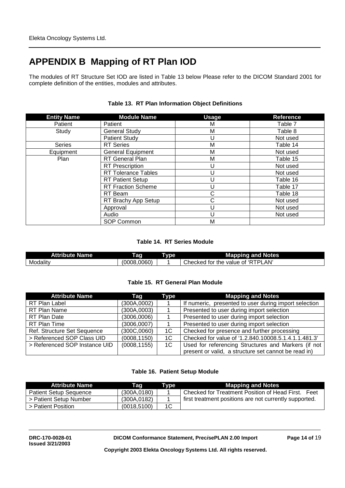# **APPENDIX B Mapping of RT Plan IOD**

The modules of RT Structure Set IOD are listed in Table 13 below Please refer to the DICOM Standard 2001 for complete definition of the entities, modules and attributes.

| <b>Entity Name</b> | <b>Module Name</b>        | <b>Usage</b> | <b>Reference</b> |
|--------------------|---------------------------|--------------|------------------|
| Patient            | Patient                   | М            | Table 7          |
| Study              | <b>General Study</b>      | M            | Table 8          |
|                    | <b>Patient Study</b>      | U            | Not used         |
| <b>Series</b>      | <b>RT</b> Series          | M            | Table 14         |
| Equipment          | <b>General Equipment</b>  | M            | Not used         |
| Plan               | <b>RT</b> General Plan    | M            | Table 15         |
|                    | <b>RT</b> Prescription    | U            | Not used         |
|                    | RT Tolerance Tables       | U            | Not used         |
|                    | <b>RT Patient Setup</b>   | U            | Table 16         |
|                    | <b>RT Fraction Scheme</b> | U            | Table 17         |
|                    | RT Beam                   | $\mathsf{C}$ | Table 18         |
|                    | RT Brachy App Setup       | C            | Not used         |
|                    | Approval                  | U            | Not used         |
|                    | Audio                     | U            | Not used         |
|                    | SOP Common                | M            |                  |

### **Table 13. RT Plan Information Object Definitions**

### **Table 14. RT Series Module**

| <b>Attribute l</b><br>Name | ag              | 709. | <b>Mapping and Notes</b><br>э.                            |
|----------------------------|-----------------|------|-----------------------------------------------------------|
| Modality                   | .0060)<br>0008. |      | TDI<br>LAN'<br>טי<br>the<br>Checked<br>tor<br>value<br>01 |

### **Table 15. RT General Plan Module**

| <b>Attribute Name</b>         | Tag          | Type | <b>Mapping and Notes</b>                              |
|-------------------------------|--------------|------|-------------------------------------------------------|
| RT Plan Label                 | (300A, 0002) |      | If numeric, presented to user during import selection |
| RT Plan Name                  | (300A, 0003) |      | Presented to user during import selection             |
| RT Plan Date                  | (3006,0006)  |      | Presented to user during import selection             |
| RT Plan Time                  | (3006,0007)  |      | Presented to user during import selection             |
| Ref. Structure Set Sequence   | (300C, 0060) | 1C   | Checked for presence and further processing           |
| > Referenced SOP Class UID    | (0008, 1150) | 1C   | Checked for value of '1.2.840.10008.5.1.4.1.1.481.3'  |
| > Referenced SOP Instance UID | (0008, 1155) | 1C   | Used for referencing Structures and Markers (if not   |
|                               |              |      | present or valid, a structure set cannot be read in)  |

### **Table 16. Patient Setup Module**

| <b>Attribute Name</b>         | Taq          | Type | <b>Mapping and Notes</b>                               |
|-------------------------------|--------------|------|--------------------------------------------------------|
| <b>Patient Setup Sequence</b> | (300A, 0180) |      | Checked for Treatment Position of Head First.<br>Feet  |
| > Patient Setup Number        | (300A, 0182) |      | first treatment positions are not currently supported. |
| > Patient Position            | (0018, 5100) | 1C   |                                                        |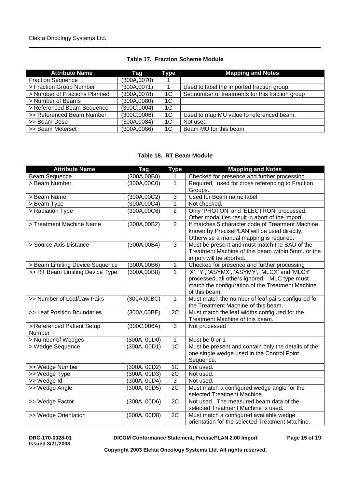| <b>Table 17. Fraction Scheme Module</b> |  |  |  |
|-----------------------------------------|--|--|--|
|-----------------------------------------|--|--|--|

| <b>Attribute Name</b>         | Taq          | Type           | <b>Mapping and Notes</b>                         |
|-------------------------------|--------------|----------------|--------------------------------------------------|
| <b>Fraction Sequence</b>      | (300A, 0070) |                |                                                  |
| > Fraction Group Number       | (300A, 0071) |                | Used to label the imported fraction group        |
| > Number of Fractions Planned | (300A, 0078) | 1C             | Set number of treatments for this fraction group |
| > Number of Beams             | (300A,0080)  | 1 <sup>C</sup> |                                                  |
| > Referenced Beam Sequence    | (300C, 0004) | 1C             |                                                  |
| >> Referenced Beam Number     | (300C,0006)  | 1C             | Used to map MU value to referenced beam.         |
| >> Beam Dose                  | (300A, 0084) | 1C             | Not used                                         |
| >> Beam Meterset              | (300A,0086)  | 1C             | Beam MU for this beam                            |

### **Table 18. RT Beam Module**

| <b>Attribute Name</b>           | <b>Tag</b>   | <b>Type</b>          | <b>Mapping and Notes</b>                                                                          |
|---------------------------------|--------------|----------------------|---------------------------------------------------------------------------------------------------|
| <b>Beam Sequence</b>            | (300A,00B0)  | 1                    | Checked for presence and further processing                                                       |
| > Beam Number                   | (300A, 00C0) | 1                    | Required, used for cross referencing to Fraction                                                  |
|                                 |              |                      | Groups.                                                                                           |
| > Beam Name                     | (300A, 00C2) | $\mathbf{3}$         | Used for Beam name label                                                                          |
| > Beam Type                     | (300A, 00C4) | $\overline{1}$       | Not checked.                                                                                      |
| > Radiation Type                | (300A, 00C6) | $\overline{2}$       | Only 'PHOTON' and 'ELECTRON' processed.                                                           |
|                                 |              |                      | Other modalities result in abort of the import.                                                   |
| > Treatment Machine Name        | (300A,00B2)  | $\overline{2}$       | If matches 5 character code of Treatment Machine                                                  |
|                                 |              |                      | known by PrecisePLAN will be used directly.                                                       |
|                                 |              |                      | Otherwise a manual mapping is required.                                                           |
| > Source Axis Distance          | (300A, 00B4) | 3                    | Must be present and must match the SAD of the                                                     |
|                                 |              |                      | Treatment Machine of this beam within 5mm. or the                                                 |
|                                 |              |                      | import will be aborted.                                                                           |
| > Beam Limiting Device Sequence | (300A, 00B6) | 1                    | Checked for presence and further processing                                                       |
| >> RT Beam Limiting Device Type | (300A,00B8)  | $\mathbf{1}$         | 'X', 'Y', 'ASYMX', 'ASYMY', 'MLCX' and 'MLCY'                                                     |
|                                 |              |                      | processed, all others ignored. MLC type must                                                      |
|                                 |              |                      | match the configuration of the Treatment Machine                                                  |
|                                 |              |                      | of this beam.                                                                                     |
| >> Number of Leaf/Jaw Pairs     | (300A, 00BC) | $\mathbf{1}$         | Must match the number of leaf pairs configured for                                                |
|                                 |              |                      | the Treatment Machine of this beam.                                                               |
| >> Leaf Position Boundaries     | (300A,00BE)  | 2C                   | Must match the leaf widths configured for the                                                     |
|                                 |              |                      | Treatment Machine of this beam.                                                                   |
| > Referenced Patient Setup      | (300C, 006A) | $\mathbf{3}$         | Not processed                                                                                     |
| Number                          |              |                      | Must be 0 or 1                                                                                    |
| > Number of Wedges              | (300A, 00D0) | 1<br>$\overline{1C}$ |                                                                                                   |
| > Wedge Sequence                | (300A, 00D1) |                      | Must be present and contain only the details of the<br>one single wedge used in the Control Point |
|                                 |              |                      | Sequence.                                                                                         |
| >> Wedge Number                 | (300A, 00D2) | 1 <sup>C</sup>       | Not used.                                                                                         |
| >> Wedge Type                   | (300A, 00D3) | $\overline{2C}$      | Not used.                                                                                         |
| >> Wedge Id                     | (300A, 00D4) | $\overline{3}$       | Not used.                                                                                         |
| >> Wedge Angle                  | (300A, 00D5) | $\overline{2C}$      | Must match a configured wedge angle for the                                                       |
|                                 |              |                      | selected Treatment Machine.                                                                       |
| >> Wedge Factor                 | (300A, 00D6) | 2C                   | Not used. The measured beam data of the                                                           |
|                                 |              |                      | selected Treatment Machine is used.                                                               |
| >> Wedge Orientation            | (300A, 00D8) | 2C                   | Must match a configured available wedge                                                           |
|                                 |              |                      | orientation for the selected Treatment Machine.                                                   |

**Issued 3/21/2003**

DICOM Conformance Statement, Prec*i*sePLAN 2.00 Import Page 15 of 19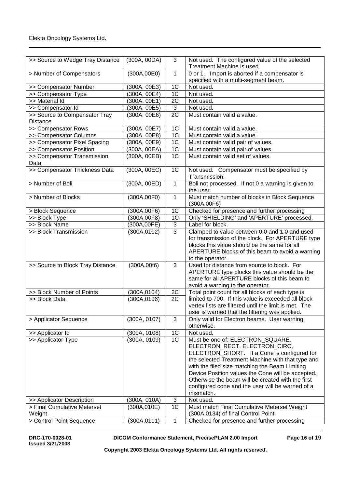| >> Source to Wedge Tray Distance          | (300A, 00DA) | 3               | Not used. The configured value of the selected               |
|-------------------------------------------|--------------|-----------------|--------------------------------------------------------------|
|                                           |              |                 | Treatment Machine is used.                                   |
| > Number of Compensators                  | (300A,00E0)  | $\mathbf{1}$    | 0 or 1. Import is aborted if a compensator is                |
|                                           | (300A, 00E3) | 1 <sup>C</sup>  | specified with a multi-segment beam.<br>Not used.            |
| >> Compensator Number                     |              | 1 <sup>C</sup>  |                                                              |
| >> Compensator Type                       | (300A, 00E4) |                 | Not used.                                                    |
| >> Material Id                            | (300A, 00E1) | $\overline{2C}$ | Not used.                                                    |
| >> Compensator Id                         | (300A, 00E5) | $\mathbf{3}$    | Not used.                                                    |
| >> Source to Compensator Tray<br>Distance | (300A, 00E6) | $\overline{2C}$ | Must contain valid a value.                                  |
| >> Compensator Rows                       | (300A, 00E7) | 1 <sup>C</sup>  | Must contain valid a value.                                  |
| >> Compensator Columns                    | (300A, 00E8) | 1 <sup>C</sup>  | Must contain valid a value.                                  |
| >> Compensator Pixel Spacing              | (300A, 00E9) | 1C              | Must contain valid pair of values.                           |
| >> Compensator Position                   | (300A, 00EA) | 1C              | Must contain valid pair of values.                           |
| >> Compensator Transmission               | (300A, 00EB) | 1 <sub>C</sub>  | Must contain valid set of values.                            |
| Data                                      |              |                 |                                                              |
| >> Compensator Thickness Data             | (300A, 00EC) | 1 <sup>C</sup>  | Not used. Compensator must be specified by                   |
|                                           |              |                 | Transmission.                                                |
| > Number of Boli                          | (300A, 00ED) | 1               | Boli not processed. If not 0 a warning is given to           |
|                                           |              |                 | the user.                                                    |
| > Number of Blocks                        | (300A,00F0)  | 1               | Must match number of blocks in Block Sequence<br>(300A,00F6) |
| > Block Sequence                          | (300A,00F6)  | 1 <sup>C</sup>  | Checked for presence and further processing                  |
| >> Block Type                             | (300A,00F8)  | $\overline{1C}$ | Only 'SHIELDING' and 'APERTURE' processed.                   |
| >> Block Name                             | (300A,00FE)  | $\overline{3}$  | Label for block.                                             |
| >> Block Transmission                     | (300A, 0102) | $\overline{3}$  | Clamped to value between 0.0 and 1.0 and used                |
|                                           |              |                 | for transmission of the block. For APERTURE type             |
|                                           |              |                 | blocks this value should be the same for all                 |
|                                           |              |                 | APERTURE blocks of this beam to avoid a warning              |
|                                           |              |                 | to the operator.                                             |
| >> Source to Block Tray Distance          | (300A, 00f6) | 3               | Used for distance from source to block. For                  |
|                                           |              |                 | APERTURE type blocks this value should be the                |
|                                           |              |                 | same for all APERTURE blocks of this beam to                 |
|                                           |              |                 | avoid a warning to the operator.                             |
| >> Block Number of Points                 | (300A, 0104) | 2C              | Total point count for all blocks of each type is             |
| >> Block Data                             | (300A, 0106) | 2C              | limited to 700. If this value is exceeded all block          |
|                                           |              |                 | vertex lists are filtered until the limit is met. The        |
|                                           |              |                 | user is warned that the filtering was applied.               |
| > Applicator Sequence                     | (300A, 0107) | 3               | Only valid for Electron beams. User warning                  |
|                                           |              |                 | otherwise.                                                   |
| >> Applicator Id                          | (300A, 0108) | 1C              | Not used.                                                    |
| >> Applicator Type                        | (300A, 0109) | 1 <sub>C</sub>  | Must be one of: ELECTRON_SQUARE,                             |
|                                           |              |                 | ELECTRON_RECT, ELECTRON_CIRC,                                |
|                                           |              |                 | ELECTRON_SHORT. If a Cone is configured for                  |
|                                           |              |                 | the selected Treatment Machine with that type and            |
|                                           |              |                 | with the filed size matching the Beam Limiting               |
|                                           |              |                 | Device Position values the Cone will be accepted.            |
|                                           |              |                 | Otherwise the beam will be created with the first            |
|                                           |              |                 | configured cone and the user will be warned of a             |
|                                           |              |                 | mismatch.                                                    |
| >> Applicator Description                 | (300A, 010A) | 3               | Not used.                                                    |
| > Final Cumulative Meterset               | (300A, 010E) | 1 <sub>C</sub>  | Must match Final Cumulative Meterset Weight                  |
| Weight                                    |              |                 | (300A,0134) of final Control Point.                          |
| > Control Point Sequence                  | (300A, 0111) | 1               | Checked for presence and further processing                  |

**Issued 3/21/2003**

DICOM Conformance Statement, Prec*i*sePLAN 2.00 Import Page 16 of 19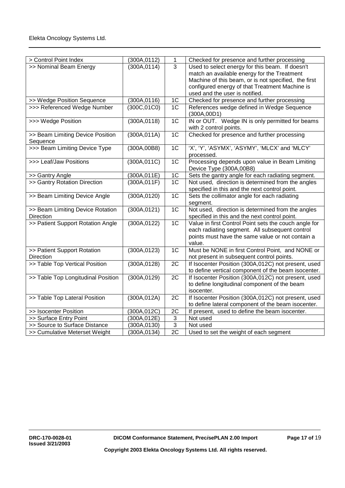| > Control Point Index              | (300A, 0112) | 1               | Checked for presence and further processing           |
|------------------------------------|--------------|-----------------|-------------------------------------------------------|
| >> Nominal Beam Energy             | (300A, 0114) | $\overline{3}$  | Used to select energy for this beam. If doesn't       |
|                                    |              |                 | match an available energy for the Treatment           |
|                                    |              |                 | Machine of this beam, or is not specified, the first  |
|                                    |              |                 | configured energy of that Treatment Machine is        |
|                                    |              |                 | used and the user is notified.                        |
| >> Wedge Position Sequence         | (300A, 0116) | 1 <sub>C</sub>  | Checked for presence and further processing           |
| >>> Referenced Wedge Number        | (300C, 01C0) | 1C              | References wedge defined in Wedge Sequence            |
|                                    |              |                 | (300A, 00D1)                                          |
| >>> Wedge Position                 | (300A, 0118) | 1 <sup>C</sup>  | IN or OUT. Wedge IN is only permitted for beams       |
|                                    |              |                 | with 2 control points.                                |
| >> Beam Limiting Device Position   | (300A, 011A) | 1 <sup>C</sup>  | Checked for presence and further processing           |
| Sequence                           |              |                 |                                                       |
| >>> Beam Limiting Device Type      | (300A,00B8)  | 1 <sub>C</sub>  | 'X', 'Y', 'ASYMX', 'ASYMY', 'MLCX' and 'MLCY'         |
|                                    |              |                 | processed.                                            |
| >>> Leaf/Jaw Positions             | (300A, 011C) | 1C              | Processing depends upon value in Beam Limiting        |
|                                    |              |                 | Device Type (300A,00B8)                               |
| >> Gantry Angle                    | (300A, 011E) | 1C              | Sets the gantry angle for each radiating segment.     |
| >> Gantry Rotation Direction       | (300A, 011F) | 1 <sup>C</sup>  | Not used, direction is determined from the angles     |
|                                    |              |                 | specified in this and the next control point.         |
| >> Beam Limiting Device Angle      | (300A, 0120) | 1 <sup>C</sup>  | Sets the collimator angle for each radiating          |
|                                    |              |                 | segment.                                              |
| >> Beam Limiting Device Rotation   | (300A, 0121) | 1 <sup>C</sup>  | Not used, direction is determined from the angles     |
| <b>Direction</b>                   |              |                 | specified in this and the next control point.         |
| >> Patient Support Rotation Angle  | (300A, 0122) | 1 <sup>C</sup>  | Value in first Control Point sets the couch angle for |
|                                    |              |                 | each radiating segment. All subsequent control        |
|                                    |              |                 | points must have the same value or not contain a      |
|                                    |              |                 | value.                                                |
| >> Patient Support Rotation        | (300A, 0123) | 1 <sup>C</sup>  | Must be NONE in first Control Point, and NONE or      |
| Direction                          |              |                 | not present in subsequent control points.             |
| >> Table Top Vertical Position     | (300A, 0128) | 2C              | If Isocenter Position (300A,012C) not present, used   |
|                                    |              |                 | to define vertical component of the beam isocenter.   |
| >> Table Top Longitudinal Position | (300A, 0129) | $\overline{2C}$ | If Isocenter Position (300A,012C) not present, used   |
|                                    |              |                 | to define longitudinal component of the beam          |
|                                    |              |                 | isocenter.                                            |
| >> Table Top Lateral Position      | (300A, 012A) | 2C              | If Isocenter Position (300A,012C) not present, used   |
|                                    |              |                 | to define lateral component of the beam isocenter.    |
| >> Isocenter Position              | (300A,012C)  | 2C              | If present, used to define the beam isocenter.        |
| >> Surface Entry Point             | (300A,012E)  | 3               | Not used                                              |
| >> Source to Surface Distance      | (300A, 0130) | $\overline{3}$  | Not used                                              |
| >> Cumulative Meterset Weight      | (300A, 0134) | $\overline{2C}$ | Used to set the weight of each segment                |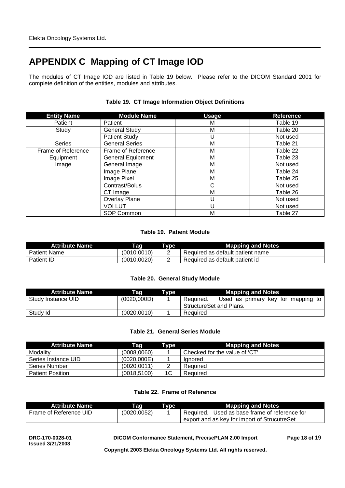# **APPENDIX C Mapping of CT Image IOD**

The modules of CT Image IOD are listed in Table 19 below. Please refer to the DICOM Standard 2001 for complete definition of the entities, modules and attributes.

| <b>Entity Name</b> | <b>Module Name</b>       | <b>Usage</b> | <b>Reference</b> |
|--------------------|--------------------------|--------------|------------------|
| Patient            | Patient                  | M            | Table 19         |
| Study              | <b>General Study</b>     | M            | Table 20         |
|                    | <b>Patient Study</b>     | U            | Not used         |
| <b>Series</b>      | <b>General Series</b>    | M            | Table 21         |
| Frame of Reference | Frame of Reference       | M            | Table 22         |
| Equipment          | <b>General Equipment</b> | M            | Table 23         |
| Image              | General Image            | M            | Not used         |
|                    | Image Plane              | M            | Table 24         |
|                    | Image Pixel              | M            | Table 25         |
|                    | Contrast/Bolus           | C            | Not used         |
|                    | CT Image                 | M            | Table 26         |
|                    | Overlay Plane            | U            | Not used         |
|                    | <b>VOI LUT</b>           | U            | Not used         |
|                    | SOP Common               | M            | Table 27         |

### **Table 19. CT Image Information Object Definitions**

### **Table 19. Patient Module**

| <b>Attribute Name</b> | Tag          | Type | <b>Mapping and Notes</b>         |
|-----------------------|--------------|------|----------------------------------|
| <b>Patient Name</b>   | (0010.0010)  | -    | Required as default patient name |
| Patient ID            | (0010, 0020) | -    | Required as default patient id   |

### **Table 20. General Study Module**

| <b>Attribute Name</b> | Taq          | Type | <b>Mapping and Notes</b>                                                   |
|-----------------------|--------------|------|----------------------------------------------------------------------------|
| Study Instance UID    | (0020,000D)  |      | Used as primary key for mapping to<br>Required.<br>StructureSet and Plans. |
| Study Id              | (0020, 0010) |      | Required                                                                   |

### **Table 21. General Series Module**

| <b>Attribute Name</b>   | Taq          | Type | <b>Mapping and Notes</b>      |
|-------------------------|--------------|------|-------------------------------|
| Modality                | (0008, 0060) |      | Checked for the value of 'CT' |
| Series Instance UID     | (0020,000E)  |      | lanored                       |
| Series Number           | (0020.0011)  |      | Required                      |
| <b>Patient Position</b> | (0018, 5100) | 1C   | Required                      |

### **Table 22. Frame of Reference**

| <b>Attribute Name</b>  | Taq          | Tvpe | <b>Mapping and Notes</b>                         |
|------------------------|--------------|------|--------------------------------------------------|
| Frame of Reference UID | (0020, 0052) |      | Used as base frame of reference for<br>Required. |
|                        |              |      | export and as key for import of StrucutreSet.    |

**DRC-170-0028-01 DICOM Conformance Statement, Prec***i***sePLAN 2.00 Import Page 18 of** 19